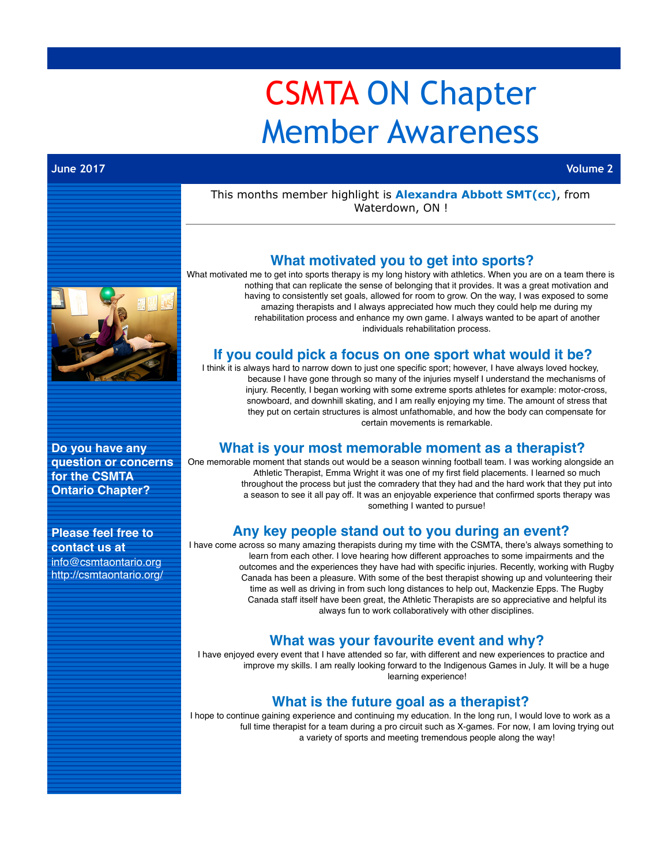# CSMTA ON Chapter Member Awareness

#### **June 2017 Volume 2**

#### This months member highlight is **Alexandra Abbott SMT(cc)**, from Waterdown, ON !



**Do you have any question or concerns for the CSMTA Ontario Chapter?**

#### **Please feel free to contact us at**

[info@csmtaontario.org](mailto:info@csmtaontario.org) http://csmtaontario.org/

## **What motivated you to get into sports?**

What motivated me to get into sports therapy is my long history with athletics. When you are on a team there is nothing that can replicate the sense of belonging that it provides. It was a great motivation and having to consistently set goals, allowed for room to grow. On the way, I was exposed to some amazing therapists and I always appreciated how much they could help me during my rehabilitation process and enhance my own game. I always wanted to be apart of another individuals rehabilitation process.

### **If you could pick a focus on one sport what would it be?**

I think it is always hard to narrow down to just one specific sport; however, I have always loved hockey, because I have gone through so many of the injuries myself I understand the mechanisms of injury. Recently, I began working with some extreme sports athletes for example: motor-cross, snowboard, and downhill skating, and I am really enjoying my time. The amount of stress that they put on certain structures is almost unfathomable, and how the body can compensate for certain movements is remarkable.

#### **What is your most memorable moment as a therapist?**

One memorable moment that stands out would be a season winning football team. I was working alongside an Athletic Therapist, Emma Wright it was one of my first field placements. I learned so much throughout the process but just the comradery that they had and the hard work that they put into a season to see it all pay off. It was an enjoyable experience that confirmed sports therapy was something I wanted to pursue!

# **Any key people stand out to you during an event?**

I have come across so many amazing therapists during my time with the CSMTA, there's always something to learn from each other. I love hearing how different approaches to some impairments and the outcomes and the experiences they have had with specific injuries. Recently, working with Rugby Canada has been a pleasure. With some of the best therapist showing up and volunteering their time as well as driving in from such long distances to help out, Mackenzie Epps. The Rugby Canada staff itself have been great, the Athletic Therapists are so appreciative and helpful its always fun to work collaboratively with other disciplines.

## **What was your favourite event and why?**

I have enjoyed every event that I have attended so far, with different and new experiences to practice and improve my skills. I am really looking forward to the Indigenous Games in July. It will be a huge learning experience!

# **What is the future goal as a therapist?**

I hope to continue gaining experience and continuing my education. In the long run, I would love to work as a full time therapist for a team during a pro circuit such as X-games. For now, I am loving trying out a variety of sports and meeting tremendous people along the way!